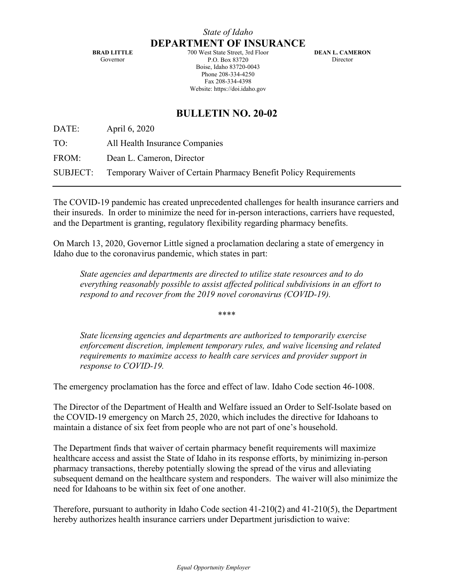**BRAD LITTLE** Governor

700 West State Street, 3rd Floor P.O. Box 83720 Boise, Idaho 83720-0043 Phone 208-334-4250 Fax 208-334-4398 Website: https://doi.idaho.gov

**DEAN L. CAMERON** Director

## **BULLETIN NO. 20-02**

DATE: April 6, 2020

TO: All Health Insurance Companies

FROM: Dean L. Cameron, Director

SUBJECT: Temporary Waiver of Certain Pharmacy Benefit Policy Requirements

The COVID-19 pandemic has created unprecedented challenges for health insurance carriers and their insureds. In order to minimize the need for in-person interactions, carriers have requested, and the Department is granting, regulatory flexibility regarding pharmacy benefits.

On March 13, 2020, Governor Little signed a proclamation declaring a state of emergency in Idaho due to the coronavirus pandemic, which states in part:

*State agencies and departments are directed to utilize state resources and to do everything reasonably possible to assist affected political subdivisions in an effort to respond to and recover from the 2019 novel coronavirus (COVID-19).* 

\*\*\*\*

*State licensing agencies and departments are authorized to temporarily exercise enforcement discretion, implement temporary rules, and waive licensing and related requirements to maximize access to health care services and provider support in response to COVID-19.* 

The emergency proclamation has the force and effect of law. Idaho Code section 46-1008.

The Director of the Department of Health and Welfare issued an Order to Self-Isolate based on the COVID-19 emergency on March 25, 2020, which includes the directive for Idahoans to maintain a distance of six feet from people who are not part of one's household.

The Department finds that waiver of certain pharmacy benefit requirements will maximize healthcare access and assist the State of Idaho in its response efforts, by minimizing in-person pharmacy transactions, thereby potentially slowing the spread of the virus and alleviating subsequent demand on the healthcare system and responders. The waiver will also minimize the need for Idahoans to be within six feet of one another.

Therefore, pursuant to authority in Idaho Code section 41-210(2) and 41-210(5), the Department hereby authorizes health insurance carriers under Department jurisdiction to waive: